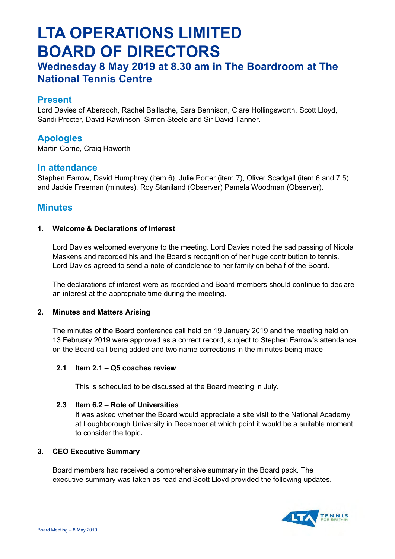# **LTA OPERATIONS LIMITED BOARD OF DIRECTORS**

## **Wednesday 8 May 2019 at 8.30 am in The Boardroom at The National Tennis Centre**

## **Present**

Lord Davies of Abersoch, Rachel Baillache, Sara Bennison, Clare Hollingsworth, Scott Lloyd, Sandi Procter, David Rawlinson, Simon Steele and Sir David Tanner.

## **Apologies**

Martin Corrie, Craig Haworth

### **In attendance**

Stephen Farrow, David Humphrey (item 6), Julie Porter (item 7), Oliver Scadgell (item 6 and 7.5) and Jackie Freeman (minutes), Roy Staniland (Observer) Pamela Woodman (Observer).

## **Minutes**

#### **1. Welcome & Declarations of Interest**

Lord Davies welcomed everyone to the meeting. Lord Davies noted the sad passing of Nicola Maskens and recorded his and the Board's recognition of her huge contribution to tennis. Lord Davies agreed to send a note of condolence to her family on behalf of the Board.

The declarations of interest were as recorded and Board members should continue to declare an interest at the appropriate time during the meeting.

#### **2. Minutes and Matters Arising**

The minutes of the Board conference call held on 19 January 2019 and the meeting held on 13 February 2019 were approved as a correct record, subject to Stephen Farrow's attendance on the Board call being added and two name corrections in the minutes being made.

#### **2.1 Item 2.1 – Q5 coaches review**

This is scheduled to be discussed at the Board meeting in July.

#### **2.3 Item 6.2 – Role of Universities**

It was asked whether the Board would appreciate a site visit to the National Academy at Loughborough University in December at which point it would be a suitable moment to consider the topic**.** 

#### **3. CEO Executive Summary**

Board members had received a comprehensive summary in the Board pack. The executive summary was taken as read and Scott Lloyd provided the following updates.

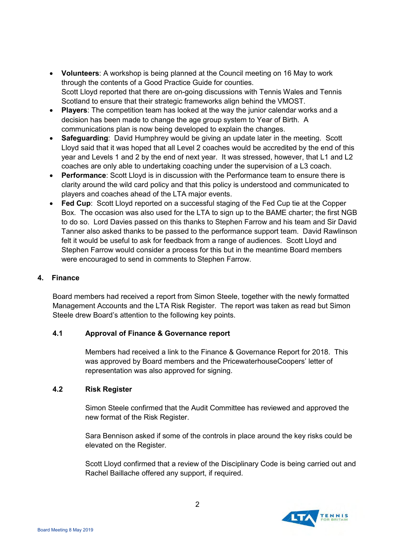- **Volunteers**: A workshop is being planned at the Council meeting on 16 May to work through the contents of a Good Practice Guide for counties. Scott Lloyd reported that there are on-going discussions with Tennis Wales and Tennis Scotland to ensure that their strategic frameworks align behind the VMOST.
- **Players**: The competition team has looked at the way the junior calendar works and a decision has been made to change the age group system to Year of Birth. A communications plan is now being developed to explain the changes.
- **Safeguarding**: David Humphrey would be giving an update later in the meeting. Scott Lloyd said that it was hoped that all Level 2 coaches would be accredited by the end of this year and Levels 1 and 2 by the end of next year. It was stressed, however, that L1 and L2 coaches are only able to undertaking coaching under the supervision of a L3 coach.
- **Performance**: Scott Lloyd is in discussion with the Performance team to ensure there is clarity around the wild card policy and that this policy is understood and communicated to players and coaches ahead of the LTA major events.
- **Fed Cup**: Scott Lloyd reported on a successful staging of the Fed Cup tie at the Copper Box. The occasion was also used for the LTA to sign up to the BAME charter; the first NGB to do so. Lord Davies passed on this thanks to Stephen Farrow and his team and Sir David Tanner also asked thanks to be passed to the performance support team. David Rawlinson felt it would be useful to ask for feedback from a range of audiences. Scott Lloyd and Stephen Farrow would consider a process for this but in the meantime Board members were encouraged to send in comments to Stephen Farrow.

#### **4. Finance**

Board members had received a report from Simon Steele, together with the newly formatted Management Accounts and the LTA Risk Register. The report was taken as read but Simon Steele drew Board's attention to the following key points.

#### **4.1 Approval of Finance & Governance report**

Members had received a link to the Finance & Governance Report for 2018. This was approved by Board members and the PricewaterhouseCoopers' letter of representation was also approved for signing.

#### **4.2 Risk Register**

Simon Steele confirmed that the Audit Committee has reviewed and approved the new format of the Risk Register.

Sara Bennison asked if some of the controls in place around the key risks could be elevated on the Register.

Scott Lloyd confirmed that a review of the Disciplinary Code is being carried out and Rachel Baillache offered any support, if required.

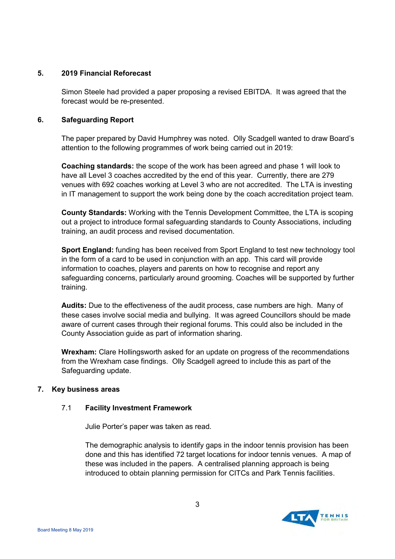#### **5. 2019 Financial Reforecast**

Simon Steele had provided a paper proposing a revised EBITDA. It was agreed that the forecast would be re-presented.

#### **6. Safeguarding Report**

The paper prepared by David Humphrey was noted. Olly Scadgell wanted to draw Board's attention to the following programmes of work being carried out in 2019:

**Coaching standards:** the scope of the work has been agreed and phase 1 will look to have all Level 3 coaches accredited by the end of this year. Currently, there are 279 venues with 692 coaches working at Level 3 who are not accredited. The LTA is investing in IT management to support the work being done by the coach accreditation project team.

**County Standards:** Working with the Tennis Development Committee, the LTA is scoping out a project to introduce formal safeguarding standards to County Associations, including training, an audit process and revised documentation.

**Sport England:** funding has been received from Sport England to test new technology tool in the form of a card to be used in conjunction with an app. This card will provide information to coaches, players and parents on how to recognise and report any safeguarding concerns, particularly around grooming. Coaches will be supported by further training.

**Audits:** Due to the effectiveness of the audit process, case numbers are high. Many of these cases involve social media and bullying. It was agreed Councillors should be made aware of current cases through their regional forums. This could also be included in the County Association guide as part of information sharing.

**Wrexham:** Clare Hollingsworth asked for an update on progress of the recommendations from the Wrexham case findings. Olly Scadgell agreed to include this as part of the Safeguarding update.

#### **7. Key business areas**

#### 7.1 **Facility Investment Framework**

Julie Porter's paper was taken as read.

 The demographic analysis to identify gaps in the indoor tennis provision has been done and this has identified 72 target locations for indoor tennis venues. A map of these was included in the papers. A centralised planning approach is being introduced to obtain planning permission for CITCs and Park Tennis facilities.

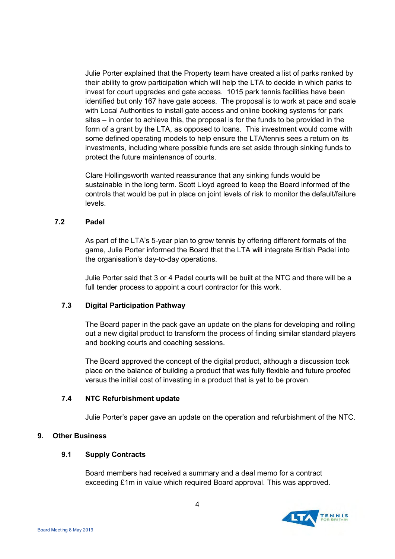Julie Porter explained that the Property team have created a list of parks ranked by their ability to grow participation which will help the LTA to decide in which parks to invest for court upgrades and gate access. 1015 park tennis facilities have been identified but only 167 have gate access. The proposal is to work at pace and scale with Local Authorities to install gate access and online booking systems for park sites – in order to achieve this, the proposal is for the funds to be provided in the form of a grant by the LTA, as opposed to loans. This investment would come with some defined operating models to help ensure the LTA/tennis sees a return on its investments, including where possible funds are set aside through sinking funds to protect the future maintenance of courts.

Clare Hollingsworth wanted reassurance that any sinking funds would be sustainable in the long term. Scott Lloyd agreed to keep the Board informed of the controls that would be put in place on joint levels of risk to monitor the default/failure levels.

#### **7.2 Padel**

As part of the LTA's 5-year plan to grow tennis by offering different formats of the game, Julie Porter informed the Board that the LTA will integrate British Padel into the organisation's day-to-day operations.

Julie Porter said that 3 or 4 Padel courts will be built at the NTC and there will be a full tender process to appoint a court contractor for this work.

#### **7.3 Digital Participation Pathway**

The Board paper in the pack gave an update on the plans for developing and rolling out a new digital product to transform the process of finding similar standard players and booking courts and coaching sessions.

The Board approved the concept of the digital product, although a discussion took place on the balance of building a product that was fully flexible and future proofed versus the initial cost of investing in a product that is yet to be proven.

#### **7.4 NTC Refurbishment update**

Julie Porter's paper gave an update on the operation and refurbishment of the NTC.

#### **9. Other Business**

#### **9.1 Supply Contracts**

Board members had received a summary and a deal memo for a contract exceeding £1m in value which required Board approval. This was approved.

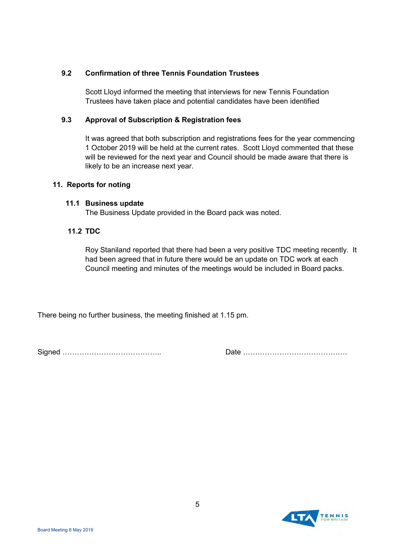#### **9.2 Confirmation of three Tennis Foundation Trustees**

Scott Lloyd informed the meeting that interviews for new Tennis Foundation Trustees have taken place and potential candidates have been identified

#### **9.3 Approval of Subscription & Registration fees**

It was agreed that both subscription and registrations fees for the year commencing 1 October 2019 will be held at the current rates. Scott Lloyd commented that these will be reviewed for the next year and Council should be made aware that there is likely to be an increase next year.

#### **11. Reports for noting**

#### **11.1 Business update**

The Business Update provided in the Board pack was noted.

#### **11.2 TDC**

Roy Staniland reported that there had been a very positive TDC meeting recently. It had been agreed that in future there would be an update on TDC work at each Council meeting and minutes of the meetings would be included in Board packs.

There being no further business, the meeting finished at 1.15 pm.

Signed ………………………………….. Date …………………………………….

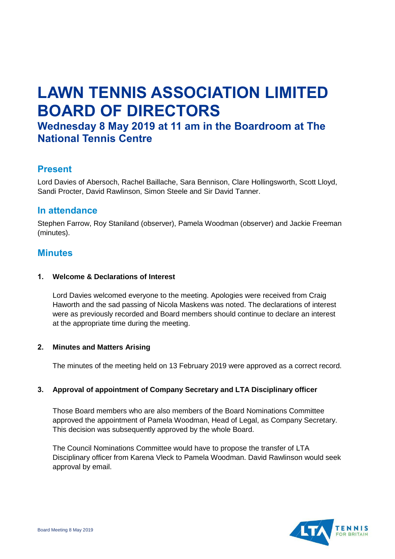# **LAWN TENNIS ASSOCIATION LIMITED BOARD OF DIRECTORS**

## **Wednesday 8 May 2019 at 11 am in the Boardroom at The National Tennis Centre**

## **Present**

Lord Davies of Abersoch, Rachel Baillache, Sara Bennison, Clare Hollingsworth, Scott Lloyd, Sandi Procter, David Rawlinson, Simon Steele and Sir David Tanner.

### **In attendance**

Stephen Farrow, Roy Staniland (observer), Pamela Woodman (observer) and Jackie Freeman (minutes).

## **Minutes**

#### **1. Welcome & Declarations of Interest**

Lord Davies welcomed everyone to the meeting. Apologies were received from Craig Haworth and the sad passing of Nicola Maskens was noted. The declarations of interest were as previously recorded and Board members should continue to declare an interest at the appropriate time during the meeting.

#### **2. Minutes and Matters Arising**

The minutes of the meeting held on 13 February 2019 were approved as a correct record.

#### **3. Approval of appointment of Company Secretary and LTA Disciplinary officer**

Those Board members who are also members of the Board Nominations Committee approved the appointment of Pamela Woodman, Head of Legal, as Company Secretary. This decision was subsequently approved by the whole Board.

The Council Nominations Committee would have to propose the transfer of LTA Disciplinary officer from Karena Vleck to Pamela Woodman. David Rawlinson would seek approval by email.